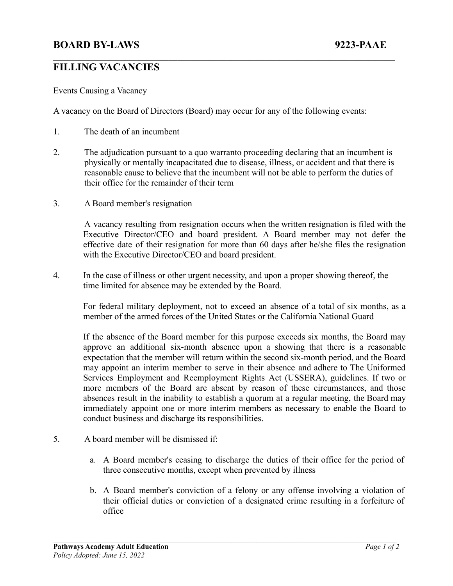## **BOARD BY-LAWS 9223-PAAE**

## **FILLING VACANCIES**

Events Causing a Vacancy

A vacancy on the Board of Directors (Board) may occur for any of the following events:

- 1. The death of an incumbent
- 2. The adjudication pursuant to a quo warranto proceeding declaring that an incumbent is physically or mentally incapacitated due to disease, illness, or accident and that there is reasonable cause to believe that the incumbent will not be able to perform the duties of their office for the remainder of their term

 $\mathcal{L}_\mathcal{L} = \{ \mathcal{L}_\mathcal{L} = \{ \mathcal{L}_\mathcal{L} = \{ \mathcal{L}_\mathcal{L} = \{ \mathcal{L}_\mathcal{L} = \{ \mathcal{L}_\mathcal{L} = \{ \mathcal{L}_\mathcal{L} = \{ \mathcal{L}_\mathcal{L} = \{ \mathcal{L}_\mathcal{L} = \{ \mathcal{L}_\mathcal{L} = \{ \mathcal{L}_\mathcal{L} = \{ \mathcal{L}_\mathcal{L} = \{ \mathcal{L}_\mathcal{L} = \{ \mathcal{L}_\mathcal{L} = \{ \mathcal{L}_\mathcal{$ 

3. A Board member's resignation

A vacancy resulting from resignation occurs when the written resignation is filed with the Executive Director/CEO and board president. A Board member may not defer the effective date of their resignation for more than 60 days after he/she files the resignation with the Executive Director/CEO and board president.

4. In the case of illness or other urgent necessity, and upon a proper showing thereof, the time limited for absence may be extended by the Board.

For federal military deployment, not to exceed an absence of a total of six months, as a member of the armed forces of the United States or the California National Guard

If the absence of the Board member for this purpose exceeds six months, the Board may approve an additional six-month absence upon a showing that there is a reasonable expectation that the member will return within the second six-month period, and the Board may appoint an interim member to serve in their absence and adhere to The Uniformed Services Employment and Reemployment Rights Act (USSERA), guidelines. If two or more members of the Board are absent by reason of these circumstances, and those absences result in the inability to establish a quorum at a regular meeting, the Board may immediately appoint one or more interim members as necessary to enable the Board to conduct business and discharge its responsibilities.

- 5. A board member will be dismissed if:
	- a. A Board member's ceasing to discharge the duties of their office for the period of three consecutive months, except when prevented by illness
	- b. A Board member's conviction of a felony or any offense involving a violation of their official duties or conviction of a designated crime resulting in a forfeiture of office

 $\mathcal{L}_\mathcal{L} = \{ \mathcal{L}_\mathcal{L} = \{ \mathcal{L}_\mathcal{L} = \{ \mathcal{L}_\mathcal{L} = \{ \mathcal{L}_\mathcal{L} = \{ \mathcal{L}_\mathcal{L} = \{ \mathcal{L}_\mathcal{L} = \{ \mathcal{L}_\mathcal{L} = \{ \mathcal{L}_\mathcal{L} = \{ \mathcal{L}_\mathcal{L} = \{ \mathcal{L}_\mathcal{L} = \{ \mathcal{L}_\mathcal{L} = \{ \mathcal{L}_\mathcal{L} = \{ \mathcal{L}_\mathcal{L} = \{ \mathcal{L}_\mathcal{$